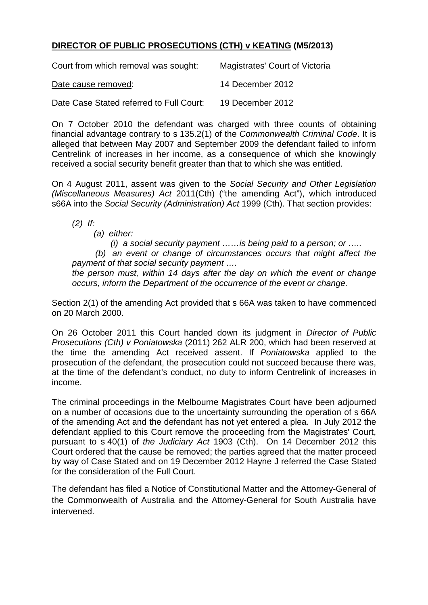## **DIRECTOR OF PUBLIC PROSECUTIONS (CTH) v KEATING (M5/2013)**

| Court from which removal was sought:     | Magistrates' Court of Victoria |
|------------------------------------------|--------------------------------|
| Date cause removed:                      | 14 December 2012               |
| Date Case Stated referred to Full Court: | 19 December 2012               |

On 7 October 2010 the defendant was charged with three counts of obtaining financial advantage contrary to s 135.2(1) of the *Commonwealth Criminal Code*. It is alleged that between May 2007 and September 2009 the defendant failed to inform Centrelink of increases in her income, as a consequence of which she knowingly received a social security benefit greater than that to which she was entitled.

On 4 August 2011, assent was given to the *Social Security and Other Legislation (Miscellaneous Measures) Act* 2011(Cth) ("the amending Act"), which introduced s66A into the *Social Security (Administration) Act* 1999 (Cth). That section provides:

*(2) If:* 

 *(a) either:* 

 *(i) a social security payment ……is being paid to a person; or …..*

 *(b) an event or change of circumstances occurs that might affect the payment of that social security payment ….*

*the person must, within 14 days after the day on which the event or change occurs, inform the Department of the occurrence of the event or change.* 

Section 2(1) of the amending Act provided that s 66A was taken to have commenced on 20 March 2000.

On 26 October 2011 this Court handed down its judgment in *Director of Public Prosecutions (Cth) v Poniatowska* (2011) 262 ALR 200, which had been reserved at the time the amending Act received assent. If *Poniatowska* applied to the prosecution of the defendant, the prosecution could not succeed because there was, at the time of the defendant's conduct, no duty to inform Centrelink of increases in income.

The criminal proceedings in the Melbourne Magistrates Court have been adjourned on a number of occasions due to the uncertainty surrounding the operation of s 66A of the amending Act and the defendant has not yet entered a plea. In July 2012 the defendant applied to this Court remove the proceeding from the Magistrates' Court, pursuant to s 40(1) of *the Judiciary Act* 1903 (Cth). On 14 December 2012 this Court ordered that the cause be removed; the parties agreed that the matter proceed by way of Case Stated and on 19 December 2012 Hayne J referred the Case Stated for the consideration of the Full Court.

The defendant has filed a Notice of Constitutional Matter and the Attorney-General of the Commonwealth of Australia and the Attorney-General for South Australia have intervened.